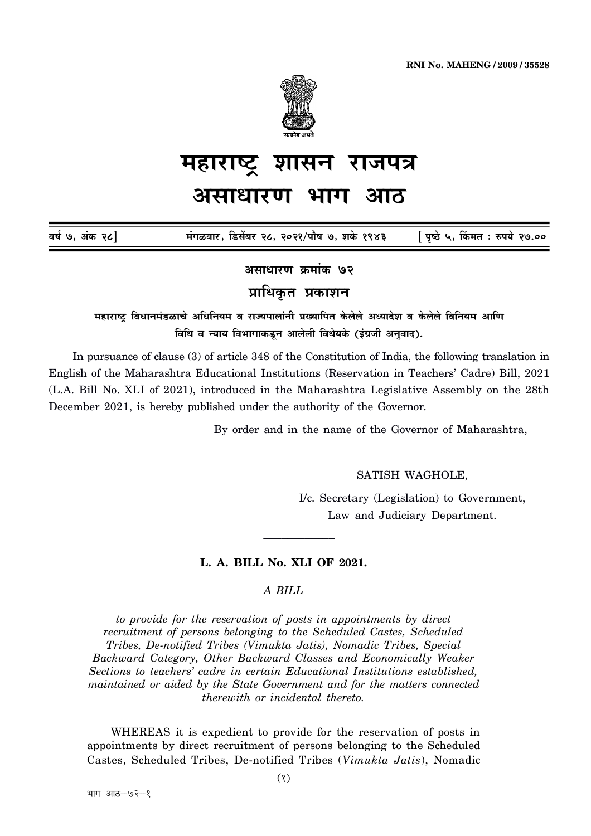

## महाराष्ट्र शासन राजपत्र असाधारण भाग आठ

मंगळवार, डिसेंबर २८, २०२१/पौष ७, शके १९४३ [ पृष्ठे ५, किंमत : रुपये २७.०० वर्ष ७. अंक २८]

असाधारण क्रमांक ७२

प्राधिकृत प्रकाशन

महाराष्ट्र विधानमंडळाचे अधिनियम व राज्यपालांनी प्रख्यापित केलेले अध्यादेश व केलेले विनियम आणि विधि व न्याय विभागाकडून आलेली विधेयके (इंग्रजी अनुवाद).

In pursuance of clause (3) of article 348 of the Constitution of India, the following translation in English of the Maharashtra Educational Institutions (Reservation in Teachers' Cadre) Bill, 2021 (L.A. Bill No. XLI of 2021), introduced in the Maharashtra Legislative Assembly on the 28th December 2021, is hereby published under the authority of the Governor.

By order and in the name of the Governor of Maharashtra.

SATISH WAGHOLE,

I/c. Secretary (Legislation) to Government, Law and Judiciary Department.

## L. A. BILL No. XLI OF 2021.

# A BILL

to provide for the reservation of posts in appointments by direct recruitment of persons belonging to the Scheduled Castes, Scheduled Tribes, De-notified Tribes (Vimukta Jatis), Nomadic Tribes, Special Backward Category, Other Backward Classes and Economically Weaker Sections to teachers' cadre in certain Educational Institutions established. maintained or aided by the State Government and for the matters connected therewith or incidental thereto.

WHEREAS it is expedient to provide for the reservation of posts in appointments by direct recruitment of persons belonging to the Scheduled Castes, Scheduled Tribes, De-notified Tribes (Vimukta Jatis), Nomadic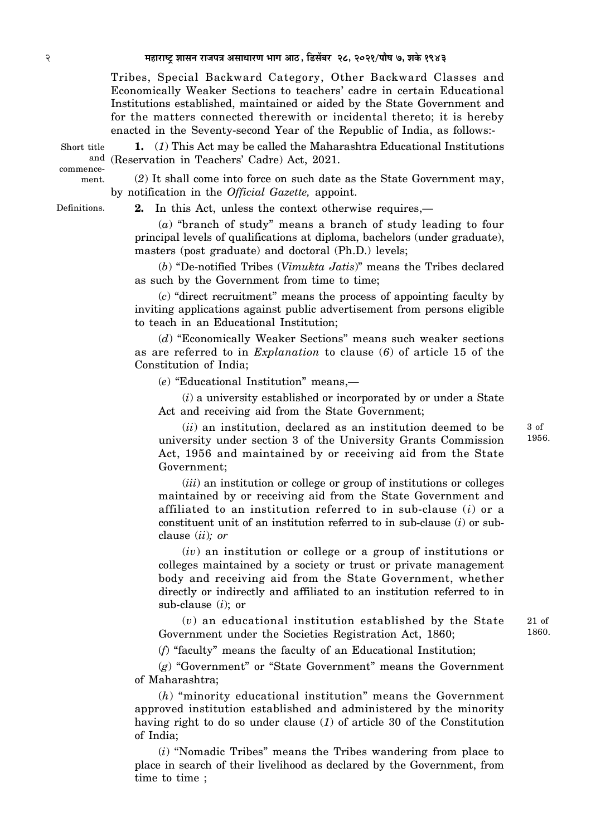#### 2 **¨É½þÉ®úɹ]Åõ ¶ÉɺÉxÉ ®úÉVÉ{ÉjÉ +ºÉÉvÉÉ®úhÉ ¦ÉÉMÉ +É`ööú, Êb÷ºÉå¤É®ú 28, 2021/{ÉÉè¹É 7, ¶ÉEäò 1943**

Tribes, Special Backward Category, Other Backward Classes and Economically Weaker Sections to teachers' cadre in certain Educational Institutions established, maintained or aided by the State Government and for the matters connected therewith or incidental thereto; it is hereby enacted in the Seventy-second Year of the Republic of India, as follows:-

Short title commence-

ment.

**1.** (*1*) This Act may be called the Maharashtra Educational Institutions and (Reservation in Teachers' Cadre) Act, 2021.

(*2*) It shall come into force on such date as the State Government may, by notification in the *Official Gazette,* appoint.

Definitions.

**2.** In this Act, unless the context otherwise requires,—

(*a*) "branch of study" means a branch of study leading to four principal levels of qualifications at diploma, bachelors (under graduate), masters (post graduate) and doctoral (Ph.D.) levels;

(*b*) "De-notified Tribes (*Vimukta Jatis*)" means the Tribes declared as such by the Government from time to time;

(*c*) "direct recruitment" means the process of appointing faculty by inviting applications against public advertisement from persons eligible to teach in an Educational Institution;

(*d*) "Economically Weaker Sections" means such weaker sections as are referred to in *Explanation* to clause (*6*) of article 15 of the Constitution of India;

(*e*) "Educational Institution" means,—

(*i*) a university established or incorporated by or under a State Act and receiving aid from the State Government;

(*ii*) an institution, declared as an institution deemed to be university under section 3 of the University Grants Commission Act, 1956 and maintained by or receiving aid from the State Government;

(*iii*) an institution or college or group of institutions or colleges maintained by or receiving aid from the State Government and affiliated to an institution referred to in sub-clause (*i*) or a constituent unit of an institution referred to in sub-clause (*i*) or subclause (*ii*)*; or*

(*iv*) an institution or college or a group of institutions or colleges maintained by a society or trust or private management body and receiving aid from the State Government, whether directly or indirectly and affiliated to an institution referred to in sub-clause (*i*); or

(*v*) an educational institution established by the State Government under the Societies Registration Act, 1860;

(*f*) "faculty" means the faculty of an Educational Institution;

(*g*) "Government" or "State Government" means the Government of Maharashtra;

(*h*) "minority educational institution" means the Government approved institution established and administered by the minority having right to do so under clause (*1*) of article 30 of the Constitution of India;

(*i*) "Nomadic Tribes" means the Tribes wandering from place to place in search of their livelihood as declared by the Government, from time to time ;

3 of 1956.

21 of 1860.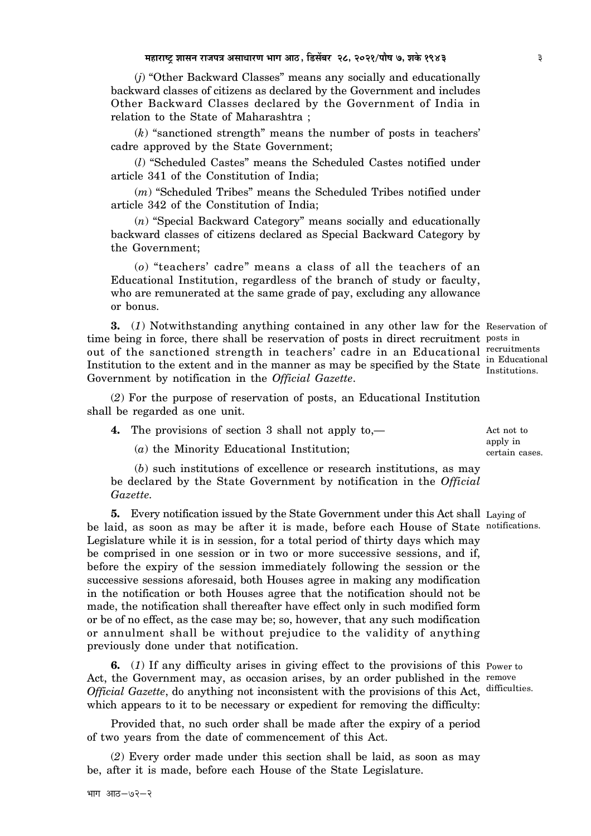(*j*) "Other Backward Classes" means any socially and educationally backward classes of citizens as declared by the Government and includes Other Backward Classes declared by the Government of India in relation to the State of Maharashtra ;

(*k*) "sanctioned strength" means the number of posts in teachers' cadre approved by the State Government;

(*l*) "Scheduled Castes" means the Scheduled Castes notified under article 341 of the Constitution of India;

(*m*) "Scheduled Tribes" means the Scheduled Tribes notified under article 342 of the Constitution of India;

(*n*) "Special Backward Category" means socially and educationally backward classes of citizens declared as Special Backward Category by the Government;

(*o*) "teachers' cadre" means a class of all the teachers of an Educational Institution, regardless of the branch of study or faculty, who are remunerated at the same grade of pay, excluding any allowance or bonus.

**3.** (*1*) Notwithstanding anything contained in any other law for the Reservation of time being in force, there shall be reservation of posts in direct recruitment posts in out of the sanctioned strength in teachers' cadre in an Educational recruitments Institution to the extent and in the manner as may be specified by the State Institutions. Government by notification in the *Official Gazette*.

(*2*) For the purpose of reservation of posts, an Educational Institution shall be regarded as one unit.

**4.** The provisions of section 3 shall not apply to,—

(*a*) the Minority Educational Institution;

(*b*) such institutions of excellence or research institutions, as may be declared by the State Government by notification in the *Official Gazette.*

**5.** Every notification issued by the State Government under this Act shall Laying of be laid, as soon as may be after it is made, before each House of State notifications. Legislature while it is in session, for a total period of thirty days which may be comprised in one session or in two or more successive sessions, and if, before the expiry of the session immediately following the session or the successive sessions aforesaid, both Houses agree in making any modification in the notification or both Houses agree that the notification should not be made, the notification shall thereafter have effect only in such modified form or be of no effect, as the case may be; so, however, that any such modification or annulment shall be without prejudice to the validity of anything previously done under that notification.

**6.** (*1*) If any difficulty arises in giving effect to the provisions of this Power to Act, the Government may, as occasion arises, by an order published in the remove Official Gazette, do anything not inconsistent with the provisions of this Act, difficulties. which appears to it to be necessary or expedient for removing the difficulty:

Provided that, no such order shall be made after the expiry of a period of two years from the date of commencement of this Act.

(*2*) Every order made under this section shall be laid, as soon as may be, after it is made, before each House of the State Legislature.

 $4\overline{1}\overline{1}\overline{1}$   $3\overline{1}\overline{1}\overline{3}-9\overline{2}\overline{1}\overline{2}$ 

in Educational

Act not to apply in certain cases.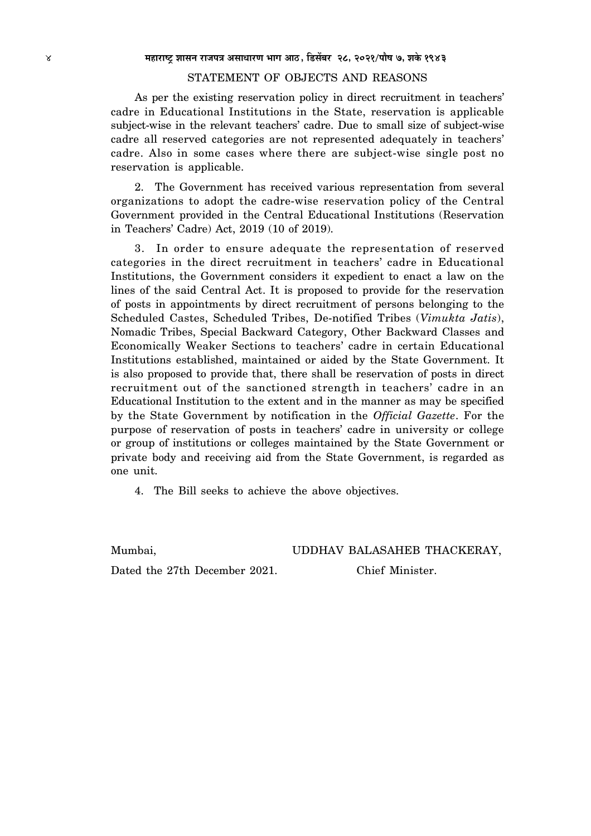### STATEMENT OF OBJECTS AND REASONS

As per the existing reservation policy in direct recruitment in teachers' cadre in Educational Institutions in the State, reservation is applicable subject-wise in the relevant teachers' cadre. Due to small size of subject-wise cadre all reserved categories are not represented adequately in teachers' cadre. Also in some cases where there are subject-wise single post no reservation is applicable.

2. The Government has received various representation from several organizations to adopt the cadre-wise reservation policy of the Central Government provided in the Central Educational Institutions (Reservation in Teachers' Cadre) Act, 2019 (10 of 2019).

3. In order to ensure adequate the representation of reserved categories in the direct recruitment in teachers' cadre in Educational Institutions, the Government considers it expedient to enact a law on the lines of the said Central Act. It is proposed to provide for the reservation of posts in appointments by direct recruitment of persons belonging to the Scheduled Castes, Scheduled Tribes, De-notified Tribes (*Vimukta Jatis*), Nomadic Tribes, Special Backward Category, Other Backward Classes and Economically Weaker Sections to teachers' cadre in certain Educational Institutions established, maintained or aided by the State Government. It is also proposed to provide that, there shall be reservation of posts in direct recruitment out of the sanctioned strength in teachers' cadre in an Educational Institution to the extent and in the manner as may be specified by the State Government by notification in the *Official Gazette*. For the purpose of reservation of posts in teachers' cadre in university or college or group of institutions or colleges maintained by the State Government or private body and receiving aid from the State Government, is regarded as one unit.

4. The Bill seeks to achieve the above objectives.

Mumbai, UDDHAV BALASAHEB THACKERAY,

Dated the 27th December 2021. Chief Minister.